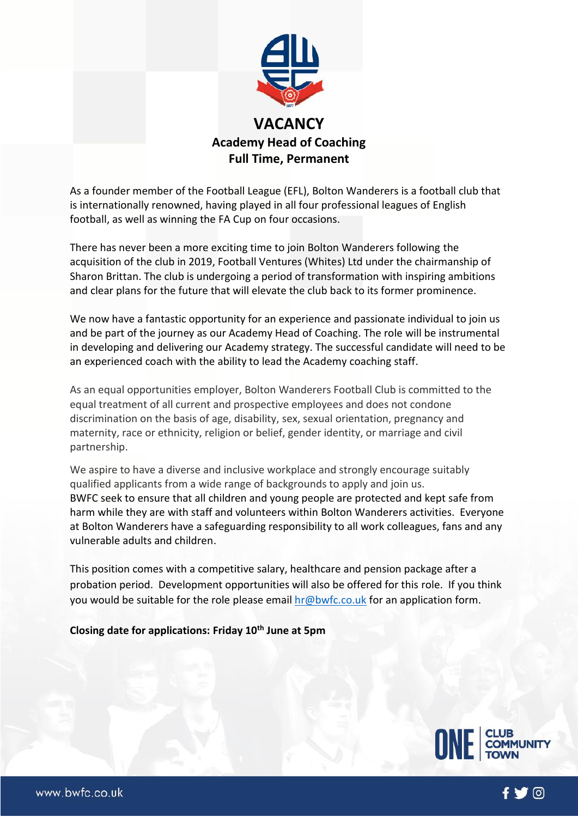

As a founder member of the Football League (EFL), Bolton Wanderers is a football club that is internationally renowned, having played in all four professional leagues of English football, as well as winning the FA Cup on four occasions.

There has never been a more exciting time to join Bolton Wanderers following the acquisition of the club in 2019, Football Ventures (Whites) Ltd under the chairmanship of Sharon Brittan. The club is undergoing a period of transformation with inspiring ambitions and clear plans for the future that will elevate the club back to its former prominence.

We now have a fantastic opportunity for an experience and passionate individual to join us and be part of the journey as our Academy Head of Coaching. The role will be instrumental in developing and delivering our Academy strategy. The successful candidate will need to be an experienced coach with the ability to lead the Academy coaching staff.

As an equal opportunities employer, Bolton Wanderers Football Club is committed to the equal treatment of all current and prospective employees and does not condone discrimination on the basis of age, disability, sex, sexual orientation, pregnancy and maternity, race or ethnicity, religion or belief, gender identity, or marriage and civil partnership.

We aspire to have a diverse and inclusive workplace and strongly encourage suitably qualified applicants from a wide range of backgrounds to apply and join us. BWFC seek to ensure that all children and young people are protected and kept safe from harm while they are with staff and volunteers within Bolton Wanderers activities. Everyone at Bolton Wanderers have a safeguarding responsibility to all work colleagues, fans and any vulnerable adults and children.

This position comes with a competitive salary, healthcare and pension package after a probation period. Development opportunities will also be offered for this role. If you think you would be suitable for the role please email [hr@bwfc.co.uk](mailto:hr@bwfc.co.uk) for an application form.

### **Closing date for applications: Friday 10th June at 5pm**



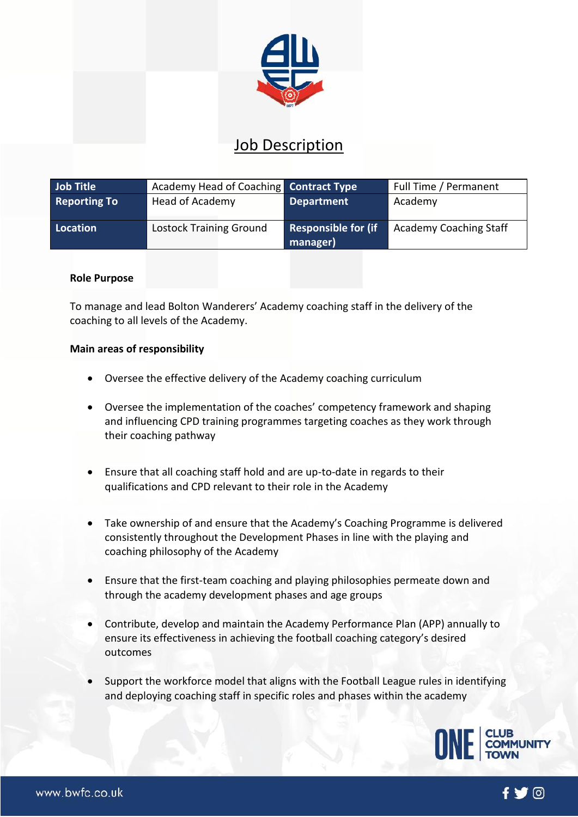

# Job Description

| <b>Job Title</b>    | Academy Head of Coaching Contract Type |                                        | Full Time / Permanent         |
|---------------------|----------------------------------------|----------------------------------------|-------------------------------|
| <b>Reporting To</b> | Head of Academy                        | <b>Department</b>                      | Academy                       |
| Location            | <b>Lostock Training Ground</b>         | <b>Responsible for (if</b><br>manager) | <b>Academy Coaching Staff</b> |

### **Role Purpose**

To manage and lead Bolton Wanderers' Academy coaching staff in the delivery of the coaching to all levels of the Academy.

#### **Main areas of responsibility**

- Oversee the effective delivery of the Academy coaching curriculum
- Oversee the implementation of the coaches' competency framework and shaping and influencing CPD training programmes targeting coaches as they work through their coaching pathway
- Ensure that all coaching staff hold and are up-to-date in regards to their qualifications and CPD relevant to their role in the Academy
- Take ownership of and ensure that the Academy's Coaching Programme is delivered consistently throughout the Development Phases in line with the playing and coaching philosophy of the Academy
- Ensure that the first-team coaching and playing philosophies permeate down and through the academy development phases and age groups
- Contribute, develop and maintain the Academy Performance Plan (APP) annually to ensure its effectiveness in achieving the football coaching category's desired outcomes
- Support the workforce model that aligns with the Football League rules in identifying and deploying coaching staff in specific roles and phases within the academy



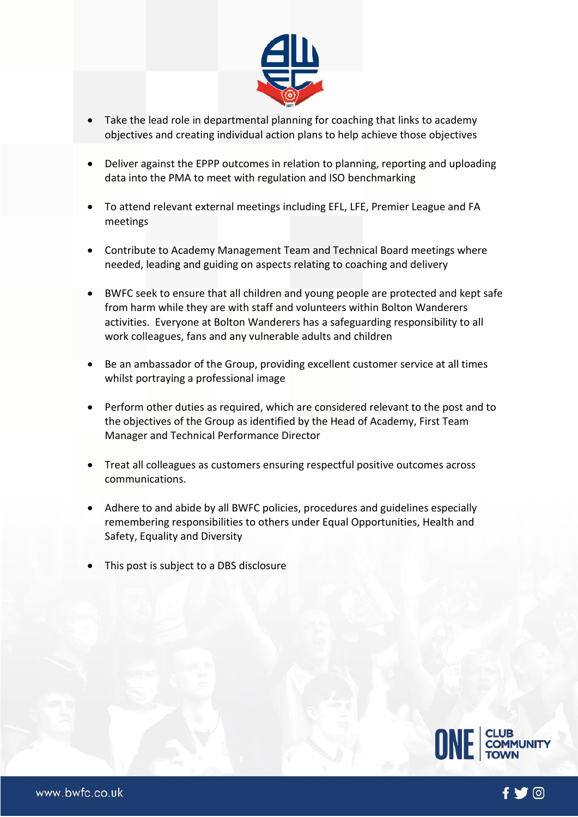

- Take the lead role in departmental planning for coaching that links to academy objectives and creating individual action plans to help achieve those objectives
- Deliver against the EPPP outcomes in relation to planning, reporting and uploading data into the PMA to meet with regulation and ISO benchmarking
- To attend relevant external meetings including EFL, LFE, Premier League and FA meetings
- Contribute to Academy Management Team and Technical Board meetings where needed, leading and guiding on aspects relating to coaching and delivery
- BWFC seek to ensure that all children and young people are protected and kept safe from harm while they are with staff and volunteers within Bolton Wanderers activities. Everyone at Bolton Wanderers has a safeguarding responsibility to all work colleagues, fans and any vulnerable adults and children
- Be an ambassador of the Group, providing excellent customer service at all times whilst portraying a professional image
- Perform other duties as required, which are considered relevant to the post and to the objectives of the Group as identified by the Head of Academy, First Team Manager and Technical Performance Director
- Treat all colleagues as customers ensuring respectful positive outcomes across communications.
- Adhere to and abide by all BWFC policies, procedures and guidelines especially remembering responsibilities to others under Equal Opportunities, Health and Safety, Equality and Diversity
- This post is subject to a DBS disclosure